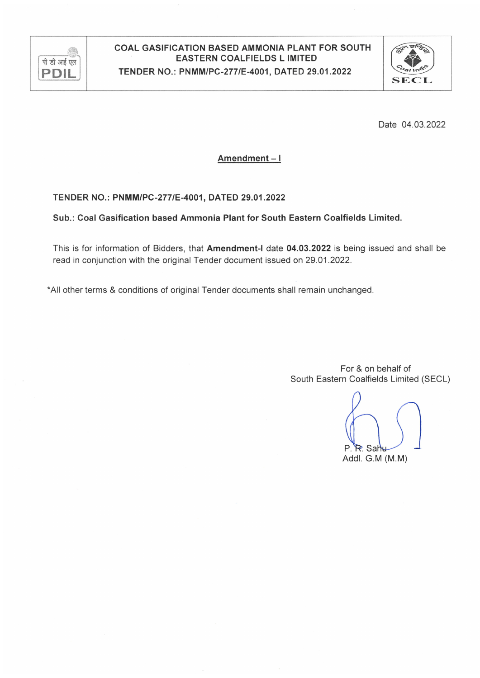

#### COAL GASIFICATION BASED AMMONIA PLANT FOR SOUTH **EASTERN COALFIELDS L IMITED** TENDER NO.: PNMM/PC-277/E-4001, DATED 29.01.2022



Date 04.03.2022

Amendment-I

#### TENDER NO.: PNMM/PC-277/E-4001, DATED 29.01.2022

Sub.: Coal Gasification based Ammonia Plant for South Eastern Coalfields Limited.

This is for information of Bidders, that Amendment-I date 04.03.2022 is being issued and shall be read in conjunction with the original Tender document issued on 29.01.2022.

\*All other terms & conditions of original Tender documents shall remain unchanged.

For & on behalf of South Eastern Coalfields Limited (SECL)

P R. Sah Addl. G.M (M.M)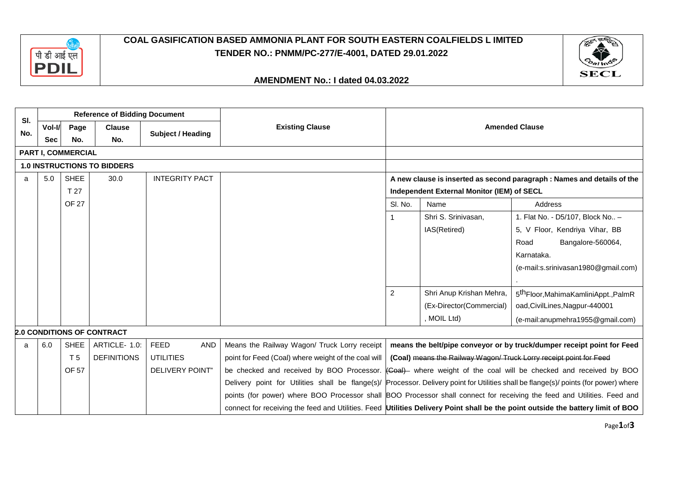

## **COAL GASIFICATION BASED AMMONIA PLANT FOR SOUTH EASTERN COALFIELDS L IMITED TENDER NO.: PNMM/PC-277/E-4001, DATED 29.01.2022**



#### **AMENDMENT No.: I dated 04.03.2022**

| SI. |            |                    | <b>Reference of Bidding Document</b> |                           |                                                                                                                                       |         |                                            |                                                                         |  |  |  |
|-----|------------|--------------------|--------------------------------------|---------------------------|---------------------------------------------------------------------------------------------------------------------------------------|---------|--------------------------------------------|-------------------------------------------------------------------------|--|--|--|
| No. | Vol-I/     | Page               | <b>Clause</b>                        |                           | <b>Existing Clause</b>                                                                                                                |         |                                            | <b>Amended Clause</b>                                                   |  |  |  |
|     | <b>Sec</b> | No.                | No.                                  | <b>Subject / Heading</b>  |                                                                                                                                       |         |                                            |                                                                         |  |  |  |
|     |            | PART I, COMMERCIAL |                                      |                           |                                                                                                                                       |         |                                            |                                                                         |  |  |  |
|     |            |                    | <b>1.0 INSTRUCTIONS TO BIDDERS</b>   |                           |                                                                                                                                       |         |                                            |                                                                         |  |  |  |
| a   | 5.0        | <b>SHEE</b>        | 30.0                                 | <b>INTEGRITY PACT</b>     |                                                                                                                                       |         |                                            | A new clause is inserted as second paragraph : Names and details of the |  |  |  |
|     |            | T 27               |                                      |                           |                                                                                                                                       |         | Independent External Monitor (IEM) of SECL |                                                                         |  |  |  |
|     |            | <b>OF 27</b>       |                                      |                           |                                                                                                                                       | SI. No. | Name                                       | Address                                                                 |  |  |  |
|     |            |                    |                                      |                           |                                                                                                                                       |         | Shri S. Srinivasan.                        | 1. Flat No. - D5/107, Block No -                                        |  |  |  |
|     |            |                    |                                      |                           |                                                                                                                                       |         | IAS(Retired)                               | 5, V Floor, Kendriya Vihar, BB                                          |  |  |  |
|     |            |                    |                                      |                           |                                                                                                                                       |         |                                            | Road<br>Bangalore-560064,                                               |  |  |  |
|     |            |                    |                                      |                           |                                                                                                                                       |         |                                            | Karnataka.                                                              |  |  |  |
|     |            |                    |                                      |                           |                                                                                                                                       |         |                                            | (e-mail:s.srinivasan1980@gmail.com)                                     |  |  |  |
|     |            |                    |                                      |                           |                                                                                                                                       |         |                                            |                                                                         |  |  |  |
|     |            |                    |                                      |                           |                                                                                                                                       | 2       | Shri Anup Krishan Mehra,                   | 5 <sup>th</sup> Floor, MahimaKamliniAppt., PalmR                        |  |  |  |
|     |            |                    |                                      |                           |                                                                                                                                       |         | (Ex-Director(Commercial)                   | oad, CivilLines, Nagpur-440001                                          |  |  |  |
|     |            |                    |                                      |                           |                                                                                                                                       |         | , MOIL Ltd)                                | (e-mail:anupmehra1955@gmail.com)                                        |  |  |  |
|     |            |                    | <b>2.0 CONDITIONS OF CONTRACT</b>    |                           |                                                                                                                                       |         |                                            |                                                                         |  |  |  |
| a   | 6.0        | <b>SHEE</b>        | ARTICLE- 1.0:                        | <b>FEED</b><br><b>AND</b> | Means the Railway Wagon/ Truck Lorry receipt                                                                                          |         |                                            | means the belt/pipe conveyor or by truck/dumper receipt point for Feed  |  |  |  |
|     |            | T <sub>5</sub>     | <b>DEFINITIONS</b>                   | <b>UTILITIES</b>          | point for Feed (Coal) where weight of the coal will                                                                                   |         |                                            | (Coal) means the Railway Wagon/ Truck Lorry receipt point for Feed      |  |  |  |
|     |            | OF 57              |                                      | <b>DELIVERY POINT"</b>    | be checked and received by BOO Processor. (Coal) where weight of the coal will be checked and received by BOO                         |         |                                            |                                                                         |  |  |  |
|     |            |                    |                                      |                           | Delivery point for Utilities shall be flange(s)/ Processor. Delivery point for Utilities shall be flange(s)/ points (for power) where |         |                                            |                                                                         |  |  |  |
|     |            |                    |                                      |                           | points (for power) where BOO Processor shall BOO Processor shall connect for receiving the feed and Utilities. Feed and               |         |                                            |                                                                         |  |  |  |
|     |            |                    |                                      |                           | connect for receiving the feed and Utilities. Feed Utilities Delivery Point shall be the point outside the battery limit of BOO       |         |                                            |                                                                         |  |  |  |

Page**1**of**3**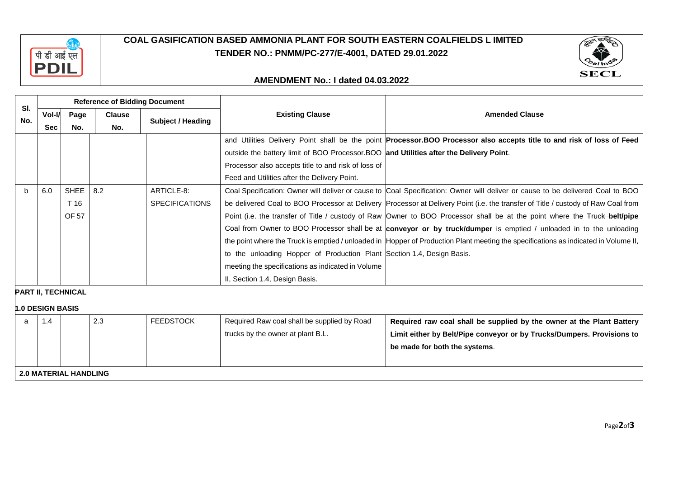

## **COAL GASIFICATION BASED AMMONIA PLANT FOR SOUTH EASTERN COALFIELDS L IMITED TENDER NO.: PNMM/PC-277/E-4001, DATED 29.01.2022**



#### **AMENDMENT No.: I dated 04.03.2022**

|     |                         |                              | <b>Reference of Bidding Document</b> |                          |                                                                                         |                                                                                                                                     |  |  |  |  |
|-----|-------------------------|------------------------------|--------------------------------------|--------------------------|-----------------------------------------------------------------------------------------|-------------------------------------------------------------------------------------------------------------------------------------|--|--|--|--|
| SI. | Vol-I/                  | Page                         | <b>Clause</b>                        |                          | <b>Existing Clause</b>                                                                  | <b>Amended Clause</b>                                                                                                               |  |  |  |  |
| No. | <b>Sec</b>              | No.                          | No.                                  | <b>Subject / Heading</b> |                                                                                         |                                                                                                                                     |  |  |  |  |
|     |                         |                              |                                      |                          |                                                                                         | and Utilities Delivery Point shall be the point Processor.BOO Processor also accepts title to and risk of loss of Feed              |  |  |  |  |
|     |                         |                              |                                      |                          | outside the battery limit of BOO Processor. BOO and Utilities after the Delivery Point. |                                                                                                                                     |  |  |  |  |
|     |                         |                              |                                      |                          | Processor also accepts title to and risk of loss of                                     |                                                                                                                                     |  |  |  |  |
|     |                         |                              |                                      |                          | Feed and Utilities after the Delivery Point.                                            |                                                                                                                                     |  |  |  |  |
| b   | 6.0                     | SHEE                         | 8.2                                  | ARTICLE-8:               |                                                                                         | Coal Specification: Owner will deliver or cause to Coal Specification: Owner will deliver or cause to be delivered Coal to BOO      |  |  |  |  |
|     |                         | T 16                         |                                      | <b>SPECIFICATIONS</b>    |                                                                                         | be delivered Coal to BOO Processor at Delivery Processor at Delivery Point (i.e. the transfer of Title / custody of Raw Coal from   |  |  |  |  |
|     |                         | OF 57                        |                                      |                          |                                                                                         | Point (i.e. the transfer of Title / custody of Raw Owner to BOO Processor shall be at the point where the Truck-belt/pipe           |  |  |  |  |
|     |                         |                              |                                      |                          |                                                                                         | Coal from Owner to BOO Processor shall be at conveyor or by truck/dumper is emptied / unloaded in to the unloading                  |  |  |  |  |
|     |                         |                              |                                      |                          |                                                                                         | the point where the Truck is emptied / unloaded in Hopper of Production Plant meeting the specifications as indicated in Volume II, |  |  |  |  |
|     |                         |                              |                                      |                          | to the unloading Hopper of Production Plant Section 1.4, Design Basis.                  |                                                                                                                                     |  |  |  |  |
|     |                         |                              |                                      |                          | meeting the specifications as indicated in Volume                                       |                                                                                                                                     |  |  |  |  |
|     |                         |                              |                                      |                          | II, Section 1.4, Design Basis.                                                          |                                                                                                                                     |  |  |  |  |
|     |                         | <b>PART II, TECHNICAL</b>    |                                      |                          |                                                                                         |                                                                                                                                     |  |  |  |  |
|     | <b>h.0 DESIGN BASIS</b> |                              |                                      |                          |                                                                                         |                                                                                                                                     |  |  |  |  |
| a   | 1.4                     |                              | 2.3                                  | <b>FEEDSTOCK</b>         | Required Raw coal shall be supplied by Road                                             | Required raw coal shall be supplied by the owner at the Plant Battery                                                               |  |  |  |  |
|     |                         |                              |                                      |                          | trucks by the owner at plant B.L.                                                       | Limit either by Belt/Pipe conveyor or by Trucks/Dumpers. Provisions to                                                              |  |  |  |  |
|     |                         |                              |                                      |                          |                                                                                         | be made for both the systems.                                                                                                       |  |  |  |  |
|     |                         |                              |                                      |                          |                                                                                         |                                                                                                                                     |  |  |  |  |
|     |                         | <b>2.0 MATERIAL HANDLING</b> |                                      |                          |                                                                                         |                                                                                                                                     |  |  |  |  |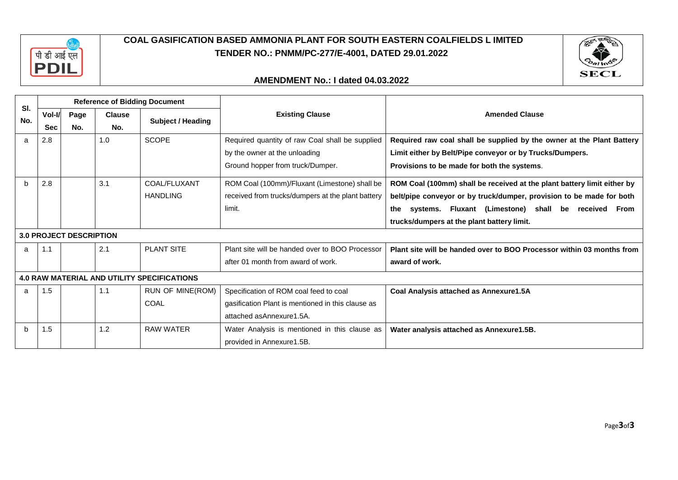

## **COAL GASIFICATION BASED AMMONIA PLANT FOR SOUTH EASTERN COALFIELDS L IMITED TENDER NO.: PNMM/PC-277/E-4001, DATED 29.01.2022**



#### **AMENDMENT No.: I dated 04.03.2022**

|            |            |                                |               | <b>Reference of Bidding Document</b>               |                                                   |                                                                         |
|------------|------------|--------------------------------|---------------|----------------------------------------------------|---------------------------------------------------|-------------------------------------------------------------------------|
| SI.<br>No. | Vol-I/     | Page                           | <b>Clause</b> |                                                    | <b>Existing Clause</b>                            | <b>Amended Clause</b>                                                   |
|            | <b>Sec</b> | No.                            | No.           | Subject / Heading                                  |                                                   |                                                                         |
| a          | 2.8        |                                | 1.0           | <b>SCOPE</b>                                       | Required quantity of raw Coal shall be supplied   | Required raw coal shall be supplied by the owner at the Plant Battery   |
|            |            |                                |               |                                                    | by the owner at the unloading                     | Limit either by Belt/Pipe conveyor or by Trucks/Dumpers.                |
|            |            |                                |               |                                                    | Ground hopper from truck/Dumper.                  | Provisions to be made for both the systems.                             |
| h          | 2.8        |                                | 3.1           | COAL/FLUXANT                                       | ROM Coal (100mm)/Fluxant (Limestone) shall be     | ROM Coal (100mm) shall be received at the plant battery limit either by |
|            |            |                                |               | <b>HANDLING</b>                                    | received from trucks/dumpers at the plant battery | belt/pipe conveyor or by truck/dumper, provision to be made for both    |
|            |            |                                |               |                                                    | limit.                                            | systems. Fluxant (Limestone) shall be received From<br>the              |
|            |            |                                |               |                                                    |                                                   | trucks/dumpers at the plant battery limit.                              |
|            |            | <b>3.0 PROJECT DESCRIPTION</b> |               |                                                    |                                                   |                                                                         |
| a          | 1.1        |                                | 2.1           | <b>PLANT SITE</b>                                  | Plant site will be handed over to BOO Processor   | Plant site will be handed over to BOO Processor within 03 months from   |
|            |            |                                |               |                                                    | after 01 month from award of work.                | award of work.                                                          |
|            |            |                                |               | <b>4.0 RAW MATERIAL AND UTILITY SPECIFICATIONS</b> |                                                   |                                                                         |
| a          | 1.5        |                                | 1.1           | <b>RUN OF MINE(ROM)</b>                            | Specification of ROM coal feed to coal            | Coal Analysis attached as Annexure1.5A                                  |
|            |            |                                |               | COAL                                               | gasification Plant is mentioned in this clause as |                                                                         |
|            |            |                                |               |                                                    | attached as Annexure 1.5A.                        |                                                                         |
| h          | 1.5        |                                | 1.2           | <b>RAW WATER</b>                                   | Water Analysis is mentioned in this clause as     | Water analysis attached as Annexure1.5B.                                |
|            |            |                                |               |                                                    | provided in Annexure1.5B.                         |                                                                         |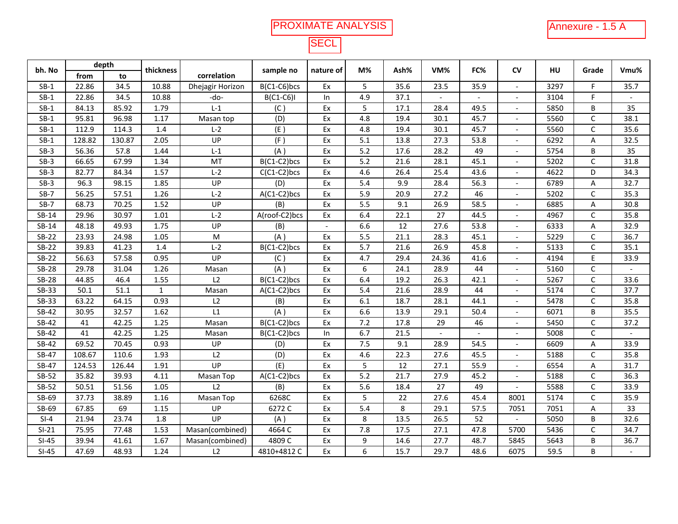# PROXIMATE ANALYSIS

# Annexure - 1.5 A<br>
L

# **SECL**

| bh. No       |        | depth  |              |                  |                |           | M%               | Ash% | VM%            | FC%            | <b>CV</b>                | HU   |              | Vmu%                     |
|--------------|--------|--------|--------------|------------------|----------------|-----------|------------------|------|----------------|----------------|--------------------------|------|--------------|--------------------------|
|              | from   | to     | thickness    | correlation      | sample no      | nature of |                  |      |                |                |                          |      | Grade        |                          |
| $SB-1$       | 22.86  | 34.5   | 10.88        | Dhejagir Horizon | B(C1-C6)bcs    | Ex        | 5                | 35.6 | 23.5           | 35.9           |                          | 3297 | F.           | 35.7                     |
| $SB-1$       | 22.86  | 34.5   | 10.88        | -do-             | $B(C1-C6)I$    | $\ln$     | 4.9              | 37.1 |                |                |                          | 3104 | F.           | $\sim$                   |
| $SB-1$       | 84.13  | 85.92  | 1.79         | $L-1$            | (C)            | Ex        | 5                | 17.1 | 28.4           | 49.5           | $\overline{\phantom{a}}$ | 5850 | B            | 35                       |
| $SB-1$       | 95.81  | 96.98  | 1.17         | Masan top        | (D)            | Ex        | 4.8              | 19.4 | 30.1           | 45.7           | $\overline{\phantom{a}}$ | 5560 | $\mathsf{C}$ | 38.1                     |
| $SB-1$       | 112.9  | 114.3  | 1.4          | $L-2$            | (E)            | Ex        | 4.8              | 19.4 | 30.1           | 45.7           |                          | 5560 | $\mathsf C$  | 35.6                     |
| $SB-1$       | 128.82 | 130.87 | 2.05         | UP               | (F)            | Ex        | 5.1              | 13.8 | 27.3           | 53.8           | $\sim$                   | 6292 | A            | 32.5                     |
| $SB-3$       | 56.36  | 57.8   | 1.44         | $L-1$            | (A)            | Ex        | 5.2              | 17.6 | 28.2           | 49             | $\overline{a}$           | 5754 | B            | 35                       |
| $SB-3$       | 66.65  | 67.99  | 1.34         | MT               | B(C1-C2)bcs    | Ex        | 5.2              | 21.6 | 28.1           | 45.1           |                          | 5202 | $\mathsf C$  | 31.8                     |
| $SB-3$       | 82.77  | 84.34  | 1.57         | $L-2$            | $C(C1-C2)$ bcs | Ex        | 4.6              | 26.4 | 25.4           | 43.6           | $\overline{\phantom{a}}$ | 4622 | D            | 34.3                     |
| $SB-3$       | 96.3   | 98.15  | 1.85         | UP               | (D)            | Ex        | 5.4              | 9.9  | 28.4           | 56.3           |                          | 6789 | A            | 32.7                     |
| $SB-7$       | 56.25  | 57.51  | 1.26         | $L-2$            | A(C1-C2)bcs    | Ex        | 5.9              | 20.9 | 27.2           | 46             |                          | 5202 | $\mathsf{C}$ | 35.3                     |
| $SB-7$       | 68.73  | 70.25  | 1.52         | UP               | (B)            | Ex        | 5.5              | 9.1  | 26.9           | 58.5           | $\overline{\phantom{a}}$ | 6885 | A            | 30.8                     |
| SB-14        | 29.96  | 30.97  | 1.01         | $L-2$            | A(roof-C2)bcs  | Ex        | 6.4              | 22.1 | 27             | 44.5           | $\overline{\phantom{a}}$ | 4967 | $\mathsf{C}$ | 35.8                     |
| SB-14        | 48.18  | 49.93  | 1.75         | UP               | (B)            |           | 6.6              | 12   | 27.6           | 53.8           |                          | 6333 | A            | 32.9                     |
| $SB-22$      | 23.93  | 24.98  | 1.05         | ${\sf M}$        | (A)            | Ex        | 5.5              | 21.1 | 28.3           | 45.1           |                          | 5229 | $\mathsf{C}$ | 36.7                     |
| $SB-22$      | 39.83  | 41.23  | 1.4          | $L-2$            | B(C1-C2)bcs    | Ex        | 5.7              | 21.6 | 26.9           | 45.8           |                          | 5133 | $\mathsf C$  | 35.1                     |
| $SB-22$      | 56.63  | 57.58  | 0.95         | U <sub>P</sub>   | (C)            | Ex        | 4.7              | 29.4 | 24.36          | 41.6           | $\overline{\phantom{a}}$ | 4194 | E            | 33.9                     |
| <b>SB-28</b> | 29.78  | 31.04  | 1.26         | Masan            | (A)            | Ex        | 6                | 24.1 | 28.9           | 44             |                          | 5160 | C            | $\overline{\phantom{a}}$ |
| <b>SB-28</b> | 44.85  | 46.4   | 1.55         | L2               | B(C1-C2)bcs    | Ex        | 6.4              | 19.2 | 26.3           | 42.1           | $\overline{\phantom{a}}$ | 5267 | $\mathsf C$  | 33.6                     |
| SB-33        | 50.1   | 51.1   | $\mathbf{1}$ | Masan            | A(C1-C2)bcs    | Ex        | 5.4              | 21.6 | 28.9           | 44             |                          | 5174 | $\mathsf C$  | 37.7                     |
| SB-33        | 63.22  | 64.15  | 0.93         | L2               | (B)            | Ex        | 6.1              | 18.7 | 28.1           | 44.1           |                          | 5478 | $\mathsf C$  | 35.8                     |
| SB-42        | 30.95  | 32.57  | 1.62         | L1               | (A)            | Ex        | 6.6              | 13.9 | 29.1           | 50.4           | $\overline{\phantom{a}}$ | 6071 | B            | 35.5                     |
| SB-42        | 41     | 42.25  | 1.25         | Masan            | B(C1-C2)bcs    | Ex        | 7.2              | 17.8 | 29             | 46             | $\overline{\phantom{a}}$ | 5450 | $\mathsf C$  | 37.2                     |
| SB-42        | 41     | 42.25  | 1.25         | Masan            | B(C1-C2)bcs    | In        | 6.7              | 21.5 | $\overline{a}$ | $\overline{a}$ | $\overline{\phantom{a}}$ | 5008 | $\mathsf C$  | $\overline{\phantom{a}}$ |
| SB-42        | 69.52  | 70.45  | 0.93         | UP               | (D)            | Ex        | 7.5              | 9.1  | 28.9           | 54.5           |                          | 6609 | А            | 33.9                     |
| SB-47        | 108.67 | 110.6  | 1.93         | L2               | (D)            | Ex        | 4.6              | 22.3 | 27.6           | 45.5           | $\overline{\phantom{a}}$ | 5188 | $\mathsf C$  | 35.8                     |
| SB-47        | 124.53 | 126.44 | 1.91         | UP               | (E)            | Ex        | 5                | 12   | 27.1           | 55.9           | $\overline{\phantom{a}}$ | 6554 | A            | 31.7                     |
| SB-52        | 35.82  | 39.93  | 4.11         | Masan Top        | $A(C1-C2)$ bcs | Ex        | $\overline{5.2}$ | 21.7 | 27.9           | 45.2           | $\overline{\phantom{a}}$ | 5188 | $\mathsf C$  | 36.3                     |
| SB-52        | 50.51  | 51.56  | 1.05         | L2               | (B)            | Ex        | 5.6              | 18.4 | 27             | 49             | $\overline{\phantom{a}}$ | 5588 | $\mathsf{C}$ | 33.9                     |
| SB-69        | 37.73  | 38.89  | 1.16         | Masan Top        | 6268C          | Ex        | 5                | 22   | 27.6           | 45.4           | 8001                     | 5174 | $\mathsf C$  | 35.9                     |
| SB-69        | 67.85  | 69     | 1.15         | UP               | 6272 C         | Ex        | 5.4              | 8    | 29.1           | 57.5           | 7051                     | 7051 | A            | 33                       |
| $SI-4$       | 21.94  | 23.74  | 1.8          | UP               | (A)            | Ex        | 8                | 13.5 | 26.5           | 52             |                          | 5050 | B            | 32.6                     |
| $SI-21$      | 75.95  | 77.48  | 1.53         | Masan(combined)  | 4664 C         | Ex        | 7.8              | 17.5 | 27.1           | 47.8           | 5700                     | 5436 | $\mathsf{C}$ | 34.7                     |
| $SI-45$      | 39.94  | 41.61  | 1.67         | Masan(combined)  | 4809 C         | Ex        | 9                | 14.6 | 27.7           | 48.7           | 5845                     | 5643 | B            | 36.7                     |
| $SI-45$      | 47.69  | 48.93  | 1.24         | L2               | 4810+4812 C    | Ex        | 6                | 15.7 | 29.7           | 48.6           | 6075                     | 59.5 | B            | $\mathbf{r}$             |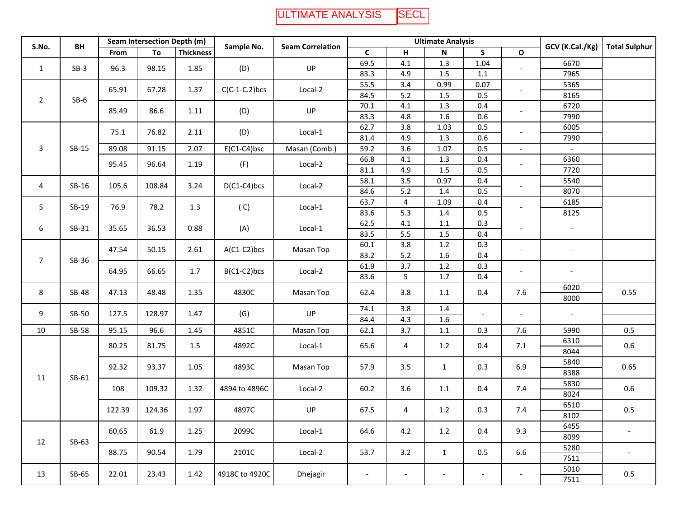#### ULTIMATE ANALYSIS**SECL**

| S.No.          | BH           |        | Seam Intersection Depth (m) |                  | Sample No.       |                         |                          | <b>Ultimate Analysis</b> |                          |                          |                          | GCV (K.Cal./Kg)          | <b>Total Sulphur</b>     |     |     |                          |     |      |      |
|----------------|--------------|--------|-----------------------------|------------------|------------------|-------------------------|--------------------------|--------------------------|--------------------------|--------------------------|--------------------------|--------------------------|--------------------------|-----|-----|--------------------------|-----|------|------|
|                |              | From   | To                          | <b>Thickness</b> |                  | <b>Seam Correlation</b> | C                        | н                        | Ν                        | S                        | $\mathbf{o}$             |                          |                          |     |     |                          |     |      |      |
| $\mathbf{1}$   | $SB-3$       | 96.3   | 98.15                       | 1.85             | (D)              | UP                      | 69.5                     | 4.1                      | 1.3                      | 1.04                     |                          | 6670                     |                          |     |     |                          |     |      |      |
|                |              |        |                             |                  |                  |                         | 83.3                     | 4.9                      | 1.5                      | 1.1                      |                          | 7965                     |                          |     |     |                          |     |      |      |
|                |              | 65.91  | 67.28                       | 1.37             | $C(C-1-C.2)$ bcs | Local-2                 | 55.5                     | 3.4                      | 0.99                     | 0.07                     |                          | 5365                     |                          |     |     |                          |     |      |      |
| $\overline{2}$ | $SB-6$       |        |                             |                  |                  |                         | 84.5                     | 5.2                      | $1.5\,$                  | 0.5                      |                          | 8165                     |                          |     |     |                          |     |      |      |
|                |              | 85.49  | 86.6                        | 1.11             | (D)              | UP                      | 70.1                     | 4.1                      | $1.3$                    | 0.4                      |                          | 6720                     |                          |     |     |                          |     |      |      |
|                |              |        |                             |                  |                  |                         | 83.3                     | 4.8                      | 1.6                      | 0.6                      |                          | 7990                     |                          |     |     |                          |     |      |      |
|                |              | 75.1   | 76.82                       | 2.11             | (D)              | Local-1                 | 62.7                     | 3.8                      | 1.03                     | 0.5                      | $\overline{\phantom{a}}$ | 6005                     |                          |     |     |                          |     |      |      |
|                |              |        |                             |                  |                  |                         | 81.4                     | 4.9                      | 1.3                      | 0.6                      |                          | 7990                     |                          |     |     |                          |     |      |      |
| 3              | SB-15        | 89.08  | 91.15                       | 2.07             | $E(C1-C4)$ bsc   | Masan (Comb.)           | 59.2                     | 3.6                      | 1.07                     | 0.5                      | $\overline{\phantom{0}}$ |                          |                          |     |     |                          |     |      |      |
|                |              | 95.45  | 96.64                       | 1.19             | (F)              | Local-2                 | 66.8                     | 4.1                      | 1.3                      | 0.4                      |                          | 6360                     |                          |     |     |                          |     |      |      |
|                |              |        |                             |                  |                  |                         | 81.1                     | 4.9                      | $1.5\,$                  | 0.5                      |                          | 7720                     |                          |     |     |                          |     |      |      |
| 4              | $SB-16$      | 105.6  | 108.84                      | 3.24             | $D(C1-C4)$ bcs   | Local-2                 | 58.1                     | 3.5                      | 0.97                     | 0.4                      | $\blacksquare$           | 5540                     |                          |     |     |                          |     |      |      |
|                |              |        |                             |                  |                  |                         | 84.6                     | 5.2                      | 1.4                      | 0.5                      |                          | 8070                     |                          |     |     |                          |     |      |      |
| 5              | SB-19        | 76.9   | 78.2                        | 1.3              | (C)              | Local-1                 | 63.7                     | 4                        | 1.09                     | 0.4                      |                          | 6185                     |                          |     |     |                          |     |      |      |
|                |              |        |                             |                  |                  |                         | 83.6                     | 5.3                      | $1.4\,$                  | 0.5                      |                          | 8125                     |                          |     |     |                          |     |      |      |
| 6              | $SB-31$      |        |                             |                  |                  | 35.65                   | 36.53                    | 0.88                     | (A)                      | Local-1                  | 62.5                     | 4.1                      | $1.1\,$                  | 0.3 |     | $\overline{\phantom{a}}$ |     |      |      |
|                |              |        |                             |                  |                  |                         | 83.5<br>5.5              |                          | $1.5\,$                  | 0.4                      |                          |                          |                          |     |     |                          |     |      |      |
|                |              | 47.54  | 50.15                       | 2.61             | A(C1-C2)bcs      | Masan Top               | 60.1                     | 3.8                      | $1.2\,$                  | 0.3                      | $\overline{\phantom{a}}$ | $\overline{\phantom{a}}$ |                          |     |     |                          |     |      |      |
| $\overline{7}$ | SB-36        |        |                             |                  |                  |                         | 83.2                     | 5.2                      | 1.6                      | 0.4                      |                          |                          |                          |     |     |                          |     |      |      |
|                |              | 64.95  | 66.65                       | 1.7              | B(C1-C2)bcs      | Local-2                 | 61.9                     | 3.7                      | 1.2                      | 0.3                      | $\overline{\phantom{a}}$ | $\overline{\phantom{a}}$ |                          |     |     |                          |     |      |      |
|                |              |        |                             |                  |                  |                         | 83.6                     | 5                        | $1.7$                    | 0.4                      |                          |                          |                          |     |     |                          |     |      |      |
| 8              | <b>SB-48</b> | 47.13  |                             |                  |                  |                         |                          |                          | 48.48                    | 1.35                     | 4830C                    | Masan Top                | 62.4                     | 3.8 | 1.1 | 0.4                      | 7.6 | 6020 | 0.55 |
|                |              |        |                             |                  |                  |                         |                          |                          |                          |                          |                          | 8000                     |                          |     |     |                          |     |      |      |
| 9              | SB-50        | 127.5  | 128.97                      | 1.47             | (G)              | UP                      | 74.1                     | 3.8                      | $1.4\,$                  | $\overline{\phantom{a}}$ | $\overline{\phantom{a}}$ | $\overline{\phantom{a}}$ |                          |     |     |                          |     |      |      |
|                |              |        |                             |                  |                  |                         | 84.4                     | 4.3                      | 1.6                      |                          |                          |                          |                          |     |     |                          |     |      |      |
| 10             | <b>SB-58</b> | 95.15  | 96.6                        | 1.45             | 4851C            | Masan Top               | 62.1                     | 3.7                      | 1.1                      | 0.3                      | 7.6                      | 5990                     | 0.5                      |     |     |                          |     |      |      |
|                |              | 80.25  | 81.75                       | 1.5              | 4892C            | Local-1                 | 65.6                     | 4                        | 1.2                      | 0.4                      | 7.1                      | 6310                     | 0.6                      |     |     |                          |     |      |      |
|                |              |        |                             |                  |                  |                         |                          |                          |                          |                          |                          | 8044                     |                          |     |     |                          |     |      |      |
|                |              | 92.32  | 93.37                       | 1.05             | 4893C            | Masan Top               | 57.9                     | 3.5                      | $\mathbf{1}$             | 0.3                      | 6.9                      | 5840                     | 0.65                     |     |     |                          |     |      |      |
| 11             | SB-61        |        |                             |                  |                  |                         |                          |                          |                          |                          |                          | 8388                     |                          |     |     |                          |     |      |      |
|                |              | 108    | 109.32                      | 1.32             | 4894 to 4896C    | Local-2                 | 60.2                     | 3.6                      | 1.1                      | 0.4                      | 7.4                      | 5830                     | 0.6                      |     |     |                          |     |      |      |
|                |              |        |                             |                  |                  |                         |                          |                          |                          |                          |                          | 8024                     |                          |     |     |                          |     |      |      |
|                |              | 122.39 | 124.36                      | 1.97             | 4897C            | UP                      | 67.5                     | 4                        | 1.2                      | 0.3                      | 7.4                      | 6510                     | 0.5                      |     |     |                          |     |      |      |
|                |              |        |                             |                  |                  |                         |                          |                          |                          |                          |                          | 8102                     |                          |     |     |                          |     |      |      |
|                |              | 60.65  | 61.9                        | 1.25             | 2099C            | Local-1                 | 64.6                     | 4.2                      | 1.2                      | 0.4                      | 9.3                      | 6455                     | $\overline{\phantom{a}}$ |     |     |                          |     |      |      |
| 12             | SB-63        |        |                             |                  |                  |                         |                          |                          |                          |                          |                          | 8099                     |                          |     |     |                          |     |      |      |
|                |              | 88.75  | 90.54                       | 1.79             | 2101C            | Local-2                 | 53.7                     | 3.2                      | $\mathbf{1}$             | 0.5                      | 6.6                      | 5280                     | $\overline{\phantom{a}}$ |     |     |                          |     |      |      |
|                |              |        |                             |                  |                  |                         |                          |                          |                          |                          |                          | 7511                     |                          |     |     |                          |     |      |      |
| 13             | SB-65        | 22.01  |                             | 1.42             |                  |                         |                          |                          |                          |                          |                          | 5010                     | 0.5                      |     |     |                          |     |      |      |
|                |              |        | 23.43                       |                  | 4918C to 4920C   | Dhejagir                | $\overline{\phantom{a}}$ | $\overline{\phantom{a}}$ | $\overline{\phantom{a}}$ | $\overline{\phantom{a}}$ | $\overline{\phantom{a}}$ | 7511                     |                          |     |     |                          |     |      |      |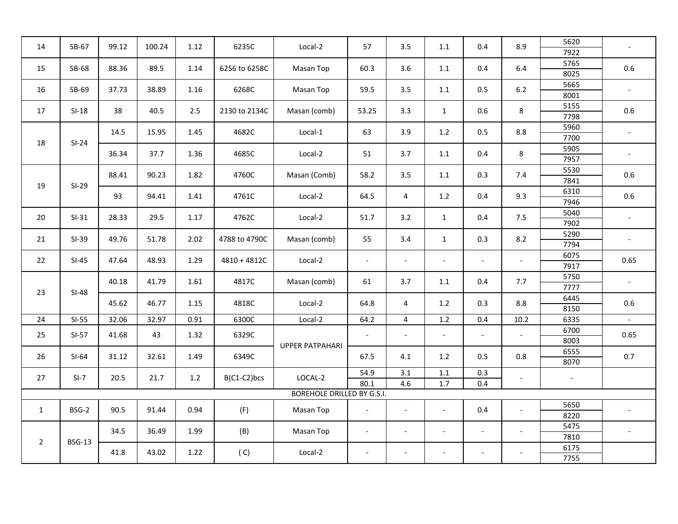| 14             | SB-67         | 99.12 | 100.24 | 1.12 | 6235C          | Local-2                                                                                             | 57                       | 3.5                      | 1.1                      | 0.4                      | 8.9                      | 5620<br>7922             | $\overline{\phantom{a}}$ |
|----------------|---------------|-------|--------|------|----------------|-----------------------------------------------------------------------------------------------------|--------------------------|--------------------------|--------------------------|--------------------------|--------------------------|--------------------------|--------------------------|
| 15             | SB-68         | 88.36 | 89.5   | 1.14 | 6256 to 6258C  | Masan Top                                                                                           | 60.3                     | 3.6                      | 1.1                      | 0.4                      | 6.4                      | 5765<br>8025             | $0.6\,$                  |
| 16             | SB-69         | 37.73 | 38.89  | 1.16 | 6268C          | Masan Top                                                                                           | 59.5                     | 3.5                      | $1.1\,$                  | 0.5                      | $6.2\,$                  | 5665<br>8001             | $\overline{\phantom{a}}$ |
| 17             | $SI-18$       | 38    | 40.5   | 2.5  | 2130 to 2134C  | Masan (comb)                                                                                        | 53.25                    | 3.3                      | $\mathbf{1}$             | 0.6                      | 8                        | 5155<br>7798             | 0.6                      |
| 18             | $SI-24$       | 14.5  | 15.95  | 1.45 | 4682C          | Local-1                                                                                             | 63                       | 3.9                      | 1.2                      | 0.5                      | 8.8                      | 5960<br>7700             | $\overline{\phantom{a}}$ |
|                |               | 36.34 | 37.7   | 1.36 | 4685C          | Local-2                                                                                             | 51                       | 3.7                      | 1.1                      | 0.4                      | 8                        | 5905<br>7957             | $\overline{\phantom{a}}$ |
| 19             | $SI-29$       | 88.41 | 90.23  | 1.82 | 4760C          | Masan (Comb)                                                                                        | 58.2                     | 3.5                      | 1.1                      | 0.3                      | 7.4                      | 5530<br>7841             | $0.6\,$                  |
|                |               | 93    | 94.41  | 1.41 | 4761C          | Local-2                                                                                             | 64.5                     | $\overline{4}$           | 1.2                      | 0.4                      | 9.3                      | 6310<br>7946             | 0.6                      |
| 20             | $SI-31$       | 28.33 | 29.5   | 1.17 | 4762C          | Local-2                                                                                             | 51.7                     | 3.2                      | $\mathbf{1}$             | 0.4                      | 7.5                      | 5040<br>7902             | $\overline{\phantom{a}}$ |
| 21             | $SI-39$       | 49.76 | 51.78  | 2.02 | 4788 to 4790C  | 0.3<br>8.2<br>Masan (comb)<br>55<br>3.4<br>$\mathbf{1}$                                             |                          | 5290<br>7794             | $\overline{\phantom{a}}$ |                          |                          |                          |                          |
| 22             | $SI-45$       | 47.64 | 48.93  | 1.29 | $4810 + 4812C$ | Local-2<br>$\overline{a}$<br>$\blacksquare$<br>$\overline{\phantom{a}}$<br>$\overline{\phantom{a}}$ |                          | 6075<br>7917             | 0.65                     |                          |                          |                          |                          |
| 23             | $SI-48$       | 40.18 | 41.79  | 1.61 | 4817C          | Masan (comb)                                                                                        | 61                       | 3.7                      | 1.1                      | 0.4                      | 7.7                      | 5750<br>7777             | $\overline{\phantom{a}}$ |
|                |               | 45.62 | 46.77  | 1.15 | 4818C          | Local-2                                                                                             | 64.8                     | 4                        | 1.2                      | 0.3                      | 8.8                      | 6445<br>8150             | 0.6                      |
| 24             | $SI-55$       | 32.06 | 32.97  | 0.91 | 6300C          | Local-2                                                                                             | 64.2                     | $\overline{4}$           | $1.2\,$                  | 0.4                      | 10.2                     | 6335                     | $\sim$                   |
| 25             | $SI-57$       | 41.68 | 43     | 1.32 | 6329C          | <b>UPPER PATPAHARI</b>                                                                              | $\overline{\phantom{a}}$ | $\overline{\phantom{a}}$ | $\overline{\phantom{a}}$ | $\overline{\phantom{a}}$ | $\overline{\phantom{a}}$ | 6700<br>8003             | 0.65                     |
| 26             | $SI-64$       | 31.12 | 32.61  | 1.49 | 6349C          |                                                                                                     | 67.5                     | 4.1                      | 1.2                      | 0.5                      | 0.8                      | 6555<br>8070             | 0.7                      |
| 27             | $SI-7$        | 20.5  | 21.7   | 1.2  | B(C1-C2)bcs    | LOCAL-2                                                                                             | 54.9<br>80.1             | 3.1<br>4.6               | $1.1\,$<br>1.7           | 0.3<br>0.4               | $\overline{\phantom{a}}$ | $\overline{\phantom{a}}$ |                          |
|                |               |       |        |      |                | <b>BOREHOLE DRILLED BY G.S.I.</b>                                                                   |                          |                          |                          |                          |                          |                          |                          |
| $\mathbf{1}$   | BSG-2         | 90.5  | 91.44  | 0.94 | (F)            | Masan Top                                                                                           | $\blacksquare$           | $\overline{a}$           | $\overline{\phantom{0}}$ | 0.4                      | $\overline{a}$           | 5650<br>8220             |                          |
|                |               | 34.5  | 36.49  | 1.99 | (B)            | Masan Top                                                                                           | $\overline{\phantom{a}}$ |                          | $\overline{\phantom{a}}$ | $\overline{\phantom{a}}$ | $\overline{\phantom{a}}$ | 5475<br>7810             |                          |
| $\overline{2}$ | <b>BSG-13</b> | 41.8  | 43.02  | 1.22 | (C)            | Local-2                                                                                             | $\overline{\phantom{a}}$ | $\overline{\phantom{a}}$ | $\overline{\phantom{a}}$ | $\overline{\phantom{a}}$ |                          | 6175<br>7755             |                          |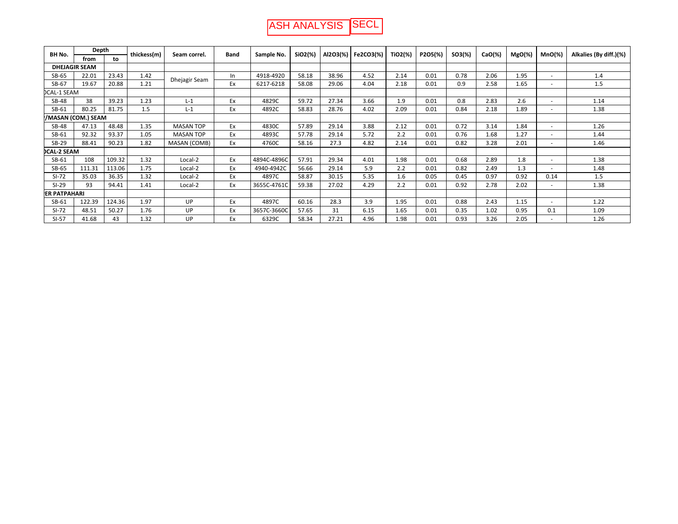| BH No.              | Depth                |        | thickess(m) | Seam correl.     | <b>Band</b> | Sample No.  | SiO2(%) | Al2O3(%) | Fe2CO3(%) | TiO2(%) | P2O5(%) | $SO3(\%)$ | $CaO(\%)$ | $MgO(\%)$ | $MnO(\%)$ | Alkalies (By diff.)(%) |
|---------------------|----------------------|--------|-------------|------------------|-------------|-------------|---------|----------|-----------|---------|---------|-----------|-----------|-----------|-----------|------------------------|
|                     | from                 | to     |             |                  |             |             |         |          |           |         |         |           |           |           |           |                        |
|                     | <b>DHEJAGIR SEAM</b> |        |             |                  |             |             |         |          |           |         |         |           |           |           |           |                        |
| SB-65               | 22.01                | 23.43  | 1.42        | Dhejagir Seam    | In.         | 4918-4920   | 58.18   | 38.96    | 4.52      | 2.14    | 0.01    | 0.78      | 2.06      | 1.95      |           | 1.4                    |
| SB-67               | 19.67                | 20.88  | 1.21        |                  | Ex          | 6217-6218   | 58.08   | 29.06    | 4.04      | 2.18    | 0.01    | 0.9       | 2.58      | 1.65      |           | 1.5                    |
| <b>DCAL-1 SEAM</b>  |                      |        |             |                  |             |             |         |          |           |         |         |           |           |           |           |                        |
| <b>SB-48</b>        | 38                   | 39.23  | 1.23        | $L-1$            | Ex          | 4829C       | 59.72   | 27.34    | 3.66      | 1.9     | 0.01    | 0.8       | 2.83      | 2.6       |           | 1.14                   |
| SB-61               | 80.25                | 81.75  | 1.5         | $L-1$            | Ex          | 4892C       | 58.83   | 28.76    | 4.02      | 2.09    | 0.01    | 0.84      | 2.18      | 1.89      |           | 1.38                   |
|                     | /MASAN (COM.) SEAM   |        |             |                  |             |             |         |          |           |         |         |           |           |           |           |                        |
| <b>SB-48</b>        | 47.13                | 48.48  | 1.35        | <b>MASAN TOP</b> | Ex          | 4830C       | 57.89   | 29.14    | 3.88      | 2.12    | 0.01    | 0.72      | 3.14      | 1.84      | $\sim$    | 1.26                   |
| SB-61               | 92.32                | 93.37  | 1.05        | <b>MASAN TOP</b> | Ex          | 4893C       | 57.78   | 29.14    | 5.72      | 2.2     | 0.01    | 0.76      | 1.68      | 1.27      |           | 1.44                   |
| SB-29               | 88.41                | 90.23  | 1.82        | MASAN (COMB)     | Ex          | 4760C       | 58.16   | 27.3     | 4.82      | 2.14    | 0.01    | 0.82      | 3.28      | 2.01      |           | 1.46                   |
| <b>DCAL-2 SEAM</b>  |                      |        |             |                  |             |             |         |          |           |         |         |           |           |           |           |                        |
| SB-61               | 108                  | 109.32 | 1.32        | Local-2          | Ex          | 4894C-4896C | 57.91   | 29.34    | 4.01      | 1.98    | 0.01    | 0.68      | 2.89      | 1.8       | $\sim$    | 1.38                   |
| SB-65               | 111.31               | 113.06 | 1.75        | Local-2          | Ex          | 4940-4942C  | 56.66   | 29.14    | 5.9       | 2.2     | 0.01    | 0.82      | 2.49      | 1.3       |           | 1.48                   |
| $SI-72$             | 35.03                | 36.35  | 1.32        | Local-2          | Ex          | 4897C       | 58.87   | 30.15    | 5.35      | 1.6     | 0.05    | 0.45      | 0.97      | 0.92      | 0.14      | 1.5                    |
| $SI-29$             | 93                   | 94.41  | 1.41        | Local-2          | Ex          | 3655C-4761C | 59.38   | 27.02    | 4.29      | 2.2     | 0.01    | 0.92      | 2.78      | 2.02      |           | 1.38                   |
| <b>ER PATPAHARI</b> |                      |        |             |                  |             |             |         |          |           |         |         |           |           |           |           |                        |
| SB-61               | 122.39               | 124.36 | 1.97        | UP               | Ex          | 4897C       | 60.16   | 28.3     | 3.9       | 1.95    | 0.01    | 0.88      | 2.43      | 1.15      | $\sim$    | 1.22                   |
| $SI-72$             | 48.51                | 50.27  | 1.76        | UP               | Ex          | 3657C-3660C | 57.65   | 31       | 6.15      | 1.65    | 0.01    | 0.35      | 1.02      | 0.95      | 0.1       | 1.09                   |
| $SI-57$             | 41.68                | 43     | 1.32        | UP               | Ex          | 6329C       | 58.34   | 27.21    | 4.96      | 1.98    | 0.01    | 0.93      | 3.26      | 2.05      |           | 1.26                   |

ASH ANALYSIS SECL